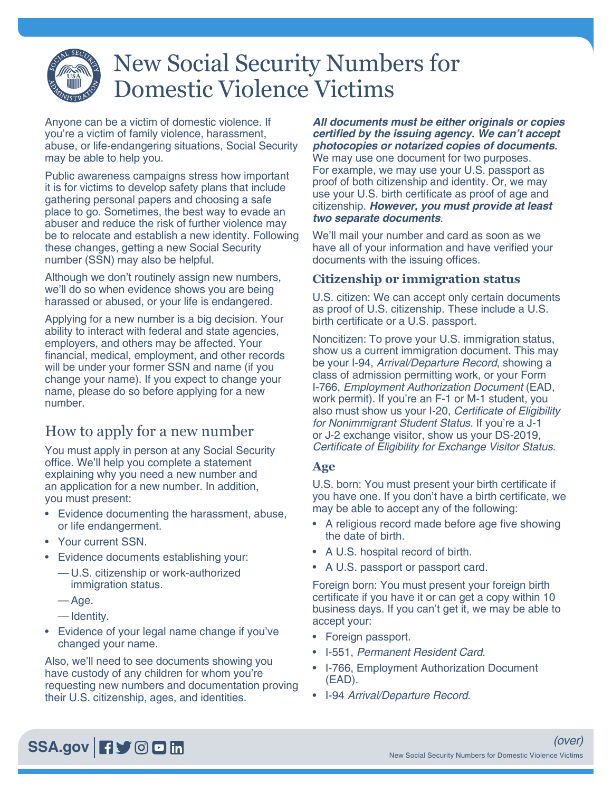# New Social Security Numbers for Domestic Violence Victims

Anyone can be a victim of domestic violence. If you're a victim of family violence, harassment, abuse, or life-endangering situations, Social Security may be able to help you.

Public awareness campaigns stress how important it is for victims to develop safety plans that include gathering personal papers and choosing a safe place to go. Sometimes, the best way to evade an abuser and reduce the risk of further violence may be to relocate and establish a new identity. Following these changes, getting a new Social Security number (SSN) may also be helpful.

Although we don't routinely assign new numbers, we'll do so when evidence shows you are being harassed or abused, or your life is endangered.

Applying for a new number is a big decision. Your ability to interact with federal and state agencies, employers, and others may be affected. Your financial, medical, employment, and other records will be under your former SSN and name (if you change your name). If you expect to change your name, please do so before applying for a new number.

# How to apply for a new number

You must apply in person at any Social Security office. We'll help you complete a statement explaining why you need a new number and an application for a new number. In addition, you must present:

- Evidence documenting the harassment, abuse, or life endangerment.
- Your current SSN.
- Evidence documents establishing your:
	- U.S. citizenship or work-authorized immigration status.
	- Age.
	- Identity.
- Evidence of your legal name change if you've changed your name.

Also, we'll need to see documents showing you have custody of any children for whom you're requesting new numbers and documentation proving their U.S. citizenship, ages, and identities.

*All documents must be either originals or copies*  **certified by the issuing agency. We can't accept photocopies or notarized copies of documents.** We may use one document for two purposes. For example, we may use your U.S. passport as proof of both citizenship and identity. Or, we may use your U.S. birth certificate as proof of age and citizenship. **However, you must provide at least**  *two separate documents*.

We'll mail your number and card as soon as we have all of your information and have verified your documents with the issuing offices.

#### **Citizenship or immigration status**

U.S. citizen: We can accept only certain documents as proof of U.S. citizenship. These include a U.S. birth certificate or a U.S. passport.

Noncitizen: To prove your U.S. immigration status, show us a current immigration document. This may be your I-94, *Arrival/Departure Record*, showing a class of admission permitting work, or your Form I-766, *Employment Authorization Document* (EAD, work permit). If you're an F-1 or M-1 student, you also must show us your I-20, Certificate of Eligibility for Nonimmigrant Student Status. If you're a J-1 or J-2 exchange visitor, show us your DS-2019, Certificate of Eligibility for Exchange Visitor Status.

#### **Age**

U.S. born: You must present your birth certificate if you have one. If you don't have a birth certificate, we may be able to accept any of the following:

- A religious record made before age five showing the date of birth.
- A U.S. hospital record of birth.
- A U.S. passport or passport card.

Foreign born: You must present your foreign birth certificate if you have it or can get a copy within 10 business days. If you can't get it, we may be able to accept your:

- Foreign passport.
- I-551, Permanent Resident Card.
- I-766, Employment Authorization Document (EAD).
- I-94 *Arrival/Departure Record*.